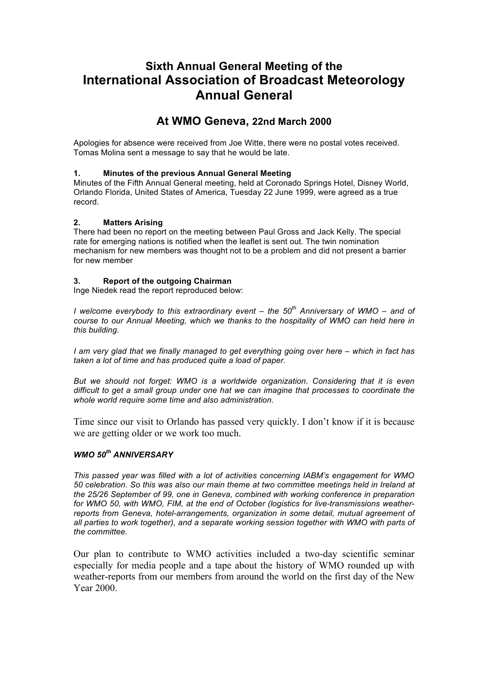# **Sixth Annual General Meeting of the International Association of Broadcast Meteorology Annual General**

## **At WMO Geneva, 22nd March 2000**

Apologies for absence were received from Joe Witte, there were no postal votes received. Tomas Molina sent a message to say that he would be late.

## **1. Minutes of the previous Annual General Meeting**

Minutes of the Fifth Annual General meeting, held at Coronado Springs Hotel, Disney World, Orlando Florida, United States of America, Tuesday 22 June 1999, were agreed as a true record.

## **2. Matters Arising**

There had been no report on the meeting between Paul Gross and Jack Kelly. The special rate for emerging nations is notified when the leaflet is sent out. The twin nomination mechanism for new members was thought not to be a problem and did not present a barrier for new member

## **3. Report of the outgoing Chairman**

Inge Niedek read the report reproduced below:

*I welcome everybody to this extraordinary event – the 50th Anniversary of WMO – and of course to our Annual Meeting, which we thanks to the hospitality of WMO can held here in this building.*

*I am very glad that we finally managed to get everything going over here – which in fact has taken a lot of time and has produced quite a load of paper.*

*But we should not forget: WMO is a worldwide organization. Considering that it is even difficult to get a small group under one hat we can imagine that processes to coordinate the whole world require some time and also administration.* 

Time since our visit to Orlando has passed very quickly. I don't know if it is because we are getting older or we work too much.

## *WMO 50th ANNIVERSARY*

*This passed year was filled with a lot of activities concerning IABM's engagement for WMO 50 celebration. So this was also our main theme at two committee meetings held in Ireland at the 25/26 September of 99, one in Geneva, combined with working conference in preparation for WMO 50, with WMO, FIM, at the end of October (logistics for live-transmissions weatherreports from Geneva, hotel-arrangements, organization in some detail, mutual agreement of all parties to work together), and a separate working session together with WMO with parts of the committee.*

Our plan to contribute to WMO activities included a two-day scientific seminar especially for media people and a tape about the history of WMO rounded up with weather-reports from our members from around the world on the first day of the New Year 2000.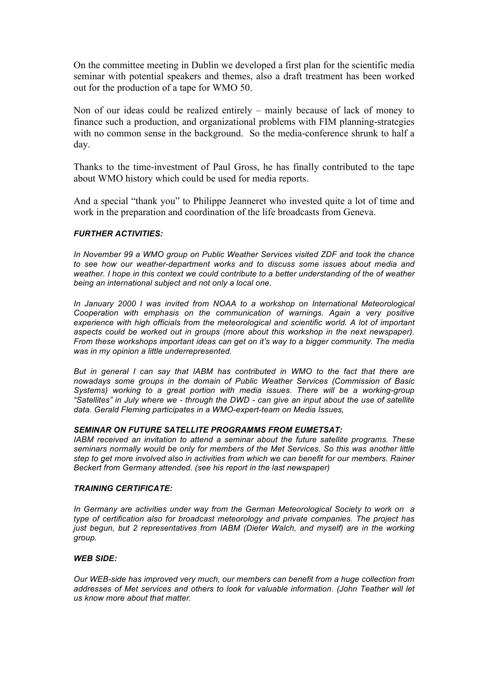On the committee meeting in Dublin we developed a first plan for the scientific media seminar with potential speakers and themes, also a draft treatment has been worked out for the production of a tape for WMO 50.

Non of our ideas could be realized entirely – mainly because of lack of money to finance such a production, and organizational problems with FIM planning-strategies with no common sense in the background. So the media-conference shrunk to half a day.

Thanks to the time-investment of Paul Gross, he has finally contributed to the tape about WMO history which could be used for media reports.

And a special "thank you" to Philippe Jeanneret who invested quite a lot of time and work in the preparation and coordination of the life broadcasts from Geneva.

#### *FURTHER ACTIVITIES:*

*In November 99 a WMO group on Public Weather Services visited ZDF and took the chance to see how our weather-department works and to discuss some issues about media and weather. I hope in this context we could contribute to a better understanding of the of weather being an international subject and not only a local one.* 

*In January 2000 I was invited from NOAA to a workshop on International Meteorological Cooperation with emphasis on the communication of warnings. Again a very positive experience with high officials from the meteorological and scientific world. A lot of important aspects could be worked out in groups (more about this workshop in the next newspaper). From these workshops important ideas can get on it's way to a bigger community. The media was in my opinion a little underrepresented.* 

*But in general I can say that IABM has contributed in WMO to the fact that there are nowadays some groups in the domain of Public Weather Services (Commission of Basic Systems) working to a great portion with media issues. There will be a working-group "Satellites" in July where we - through the DWD - can give an input about the use of satellite data. Gerald Fleming participates in a WMO-expert-team on Media Issues,*

#### *SEMINAR ON FUTURE SATELLITE PROGRAMMS FROM EUMETSAT:*

*IABM received an invitation to attend a seminar about the future satellite programs. These seminars normally would be only for members of the Met Services. So this was another little step to get more involved also in activities from which we can benefit for our members. Rainer Beckert from Germany attended. (see his report in the last newspaper)* 

#### *TRAINING CERTIFICATE:*

*In Germany are activities under way from the German Meteorological Society to work on a type of certification also for broadcast meteorology and private companies. The project has just begun, but 2 representatives from IABM (Dieter Walch, and myself) are in the working group.* 

#### *WEB SIDE:*

*Our WEB-side has improved very much, our members can benefit from a huge collection from addresses of Met services and others to look for valuable information. (John Teather will let us know more about that matter.*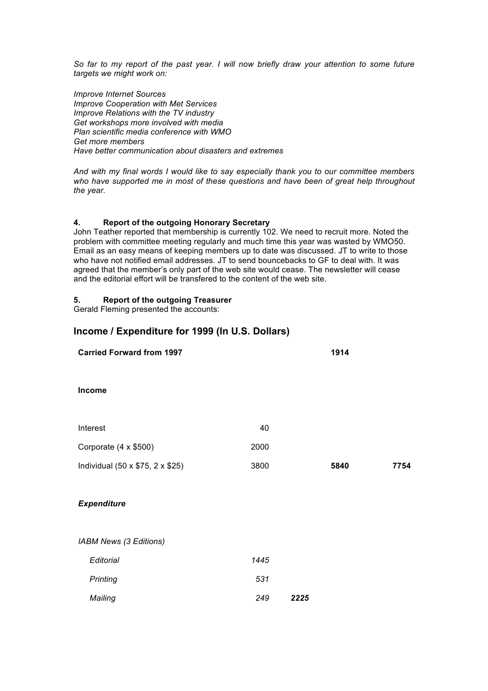*So far to my report of the past year. I will now briefly draw your attention to some future targets we might work on:* 

*Improve Internet Sources Improve Cooperation with Met Services Improve Relations with the TV industry Get workshops more involved with media Plan scientific media conference with WMO Get more members Have better communication about disasters and extremes*

*And with my final words I would like to say especially thank you to our committee members who have supported me in most of these questions and have been of great help throughout the year.*

## **4. Report of the outgoing Honorary Secretary**

John Teather reported that membership is currently 102. We need to recruit more. Noted the problem with committee meeting regularly and much time this year was wasted by WMO50. Email as an easy means of keeping members up to date was discussed. JT to write to those who have not notified email addresses. JT to send bouncebacks to GF to deal with. It was agreed that the member's only part of the web site would cease. The newsletter will cease and the editorial effort will be transfered to the content of the web site.

## **5. Report of the outgoing Treasurer**

Gerald Fleming presented the accounts:

## **Income / Expenditure for 1999 (In U.S. Dollars)**

| <b>Carried Forward from 1997</b> |      |      | 1914 |      |
|----------------------------------|------|------|------|------|
| Income                           |      |      |      |      |
| Interest                         | 40   |      |      |      |
| Corporate (4 x \$500)            | 2000 |      |      |      |
| Individual (50 x \$75, 2 x \$25) | 3800 |      | 5840 | 7754 |
| <b>Expenditure</b>               |      |      |      |      |
| IABM News (3 Editions)           |      |      |      |      |
| Editorial                        | 1445 |      |      |      |
| Printing                         | 531  |      |      |      |
| Mailing                          | 249  | 2225 |      |      |
|                                  |      |      |      |      |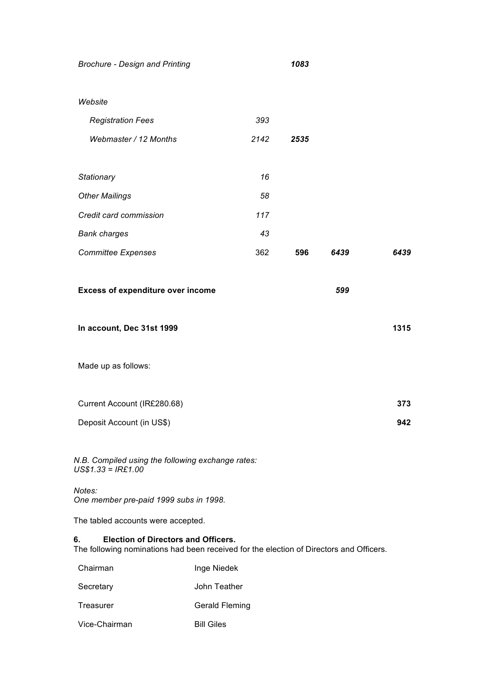*Brochure - Design and Printing 1083*

| <b>Registration Fees</b>                                                                                                                    | 393         |      |      |      |
|---------------------------------------------------------------------------------------------------------------------------------------------|-------------|------|------|------|
| Webmaster / 12 Months                                                                                                                       | 2142        | 2535 |      |      |
|                                                                                                                                             |             |      |      |      |
| Stationary                                                                                                                                  | 16          |      |      |      |
| <b>Other Mailings</b>                                                                                                                       | 58          |      |      |      |
| Credit card commission                                                                                                                      | 117         |      |      |      |
| <b>Bank charges</b>                                                                                                                         | 43          |      |      |      |
| <b>Committee Expenses</b>                                                                                                                   | 362         | 596  | 6439 | 6439 |
|                                                                                                                                             |             |      |      |      |
| <b>Excess of expenditure over income</b>                                                                                                    |             |      | 599  |      |
|                                                                                                                                             |             |      |      |      |
| In account, Dec 31st 1999                                                                                                                   |             |      |      | 1315 |
|                                                                                                                                             |             |      |      |      |
| Made up as follows:                                                                                                                         |             |      |      |      |
|                                                                                                                                             |             |      |      |      |
| Current Account (IR£280.68)                                                                                                                 |             |      |      | 373  |
| Deposit Account (in US\$)                                                                                                                   |             |      |      | 942  |
|                                                                                                                                             |             |      |      |      |
| N.B. Compiled using the following exchange rates:<br>$US$1.33 = IRE1.00$                                                                    |             |      |      |      |
| Notes:<br>One member pre-paid 1999 subs in 1998.                                                                                            |             |      |      |      |
| The tabled accounts were accepted.                                                                                                          |             |      |      |      |
| 6.<br><b>Election of Directors and Officers.</b><br>The following nominations had been received for the election of Directors and Officers. |             |      |      |      |
| Chairman                                                                                                                                    | Inge Niedek |      |      |      |

- Treasurer Gerald Fleming
- Vice-Chairman Bill Giles